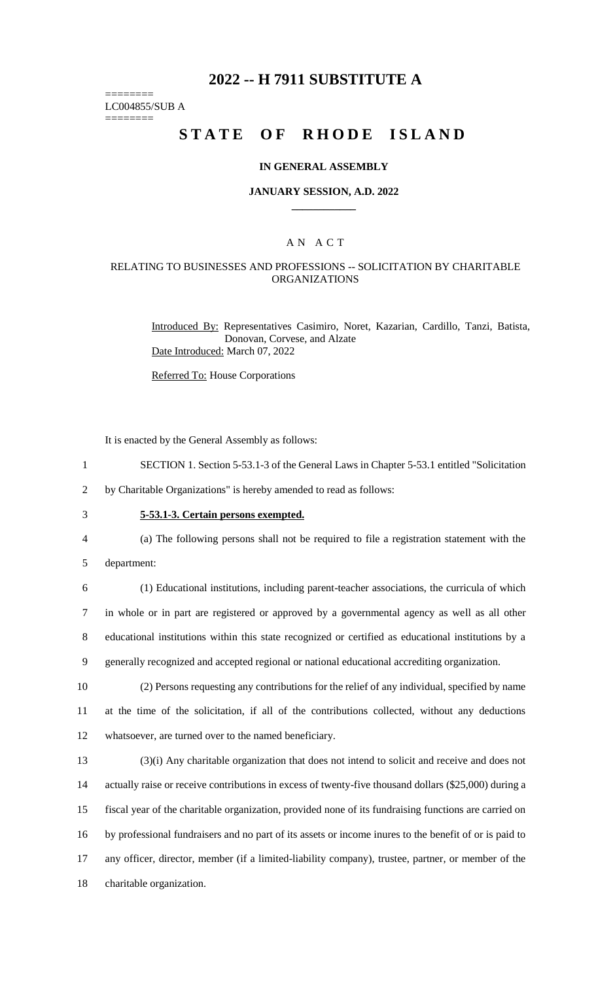# **2022 -- H 7911 SUBSTITUTE A**

======== LC004855/SUB A

========

# **STATE OF RHODE ISLAND**

#### **IN GENERAL ASSEMBLY**

#### **JANUARY SESSION, A.D. 2022 \_\_\_\_\_\_\_\_\_\_\_\_**

### A N A C T

#### RELATING TO BUSINESSES AND PROFESSIONS -- SOLICITATION BY CHARITABLE ORGANIZATIONS

Introduced By: Representatives Casimiro, Noret, Kazarian, Cardillo, Tanzi, Batista, Donovan, Corvese, and Alzate Date Introduced: March 07, 2022

Referred To: House Corporations

It is enacted by the General Assembly as follows:

1 SECTION 1. Section 5-53.1-3 of the General Laws in Chapter 5-53.1 entitled "Solicitation

2 by Charitable Organizations" is hereby amended to read as follows:

# 3 **5-53.1-3. Certain persons exempted.**

4 (a) The following persons shall not be required to file a registration statement with the

5 department:

 (1) Educational institutions, including parent-teacher associations, the curricula of which in whole or in part are registered or approved by a governmental agency as well as all other educational institutions within this state recognized or certified as educational institutions by a generally recognized and accepted regional or national educational accrediting organization.

10 (2) Persons requesting any contributions for the relief of any individual, specified by name 11 at the time of the solicitation, if all of the contributions collected, without any deductions 12 whatsoever, are turned over to the named beneficiary.

 (3)(i) Any charitable organization that does not intend to solicit and receive and does not actually raise or receive contributions in excess of twenty-five thousand dollars (\$25,000) during a fiscal year of the charitable organization, provided none of its fundraising functions are carried on by professional fundraisers and no part of its assets or income inures to the benefit of or is paid to any officer, director, member (if a limited-liability company), trustee, partner, or member of the charitable organization.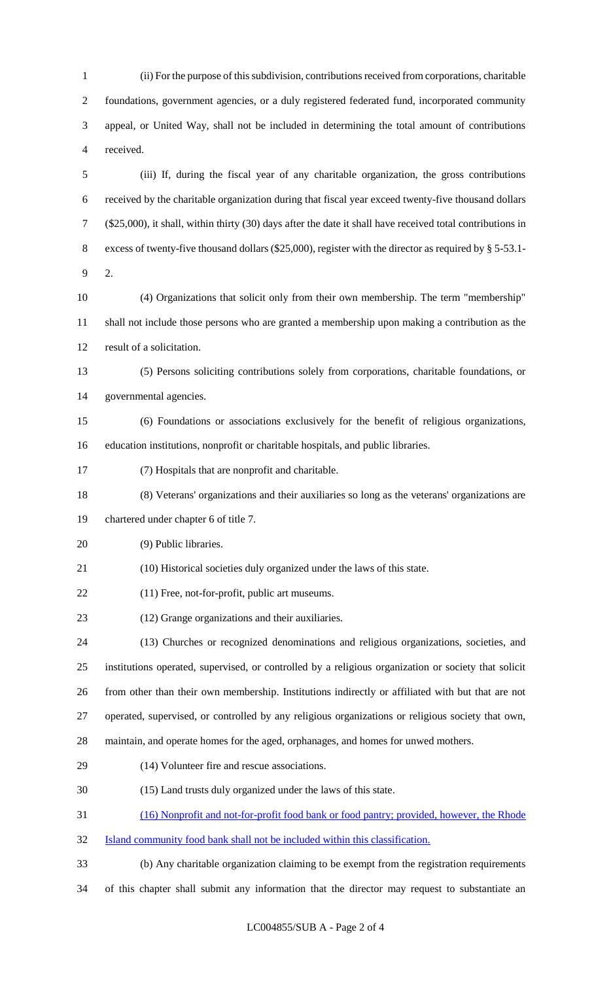(ii) For the purpose of this subdivision, contributions received from corporations, charitable foundations, government agencies, or a duly registered federated fund, incorporated community appeal, or United Way, shall not be included in determining the total amount of contributions received.

 (iii) If, during the fiscal year of any charitable organization, the gross contributions received by the charitable organization during that fiscal year exceed twenty-five thousand dollars (\$25,000), it shall, within thirty (30) days after the date it shall have received total contributions in excess of twenty-five thousand dollars (\$25,000), register with the director as required by § 5-53.1- 2.

 (4) Organizations that solicit only from their own membership. The term "membership" shall not include those persons who are granted a membership upon making a contribution as the result of a solicitation.

 (5) Persons soliciting contributions solely from corporations, charitable foundations, or governmental agencies.

- (6) Foundations or associations exclusively for the benefit of religious organizations, education institutions, nonprofit or charitable hospitals, and public libraries.
- (7) Hospitals that are nonprofit and charitable.
- (8) Veterans' organizations and their auxiliaries so long as the veterans' organizations are

chartered under chapter 6 of title 7.

- (9) Public libraries.
- (10) Historical societies duly organized under the laws of this state.
- (11) Free, not-for-profit, public art museums.
- (12) Grange organizations and their auxiliaries.

 (13) Churches or recognized denominations and religious organizations, societies, and institutions operated, supervised, or controlled by a religious organization or society that solicit from other than their own membership. Institutions indirectly or affiliated with but that are not operated, supervised, or controlled by any religious organizations or religious society that own,

- maintain, and operate homes for the aged, orphanages, and homes for unwed mothers.
- (14) Volunteer fire and rescue associations.
- (15) Land trusts duly organized under the laws of this state.

(16) Nonprofit and not-for-profit food bank or food pantry; provided, however, the Rhode

- Island community food bank shall not be included within this classification.
- (b) Any charitable organization claiming to be exempt from the registration requirements

of this chapter shall submit any information that the director may request to substantiate an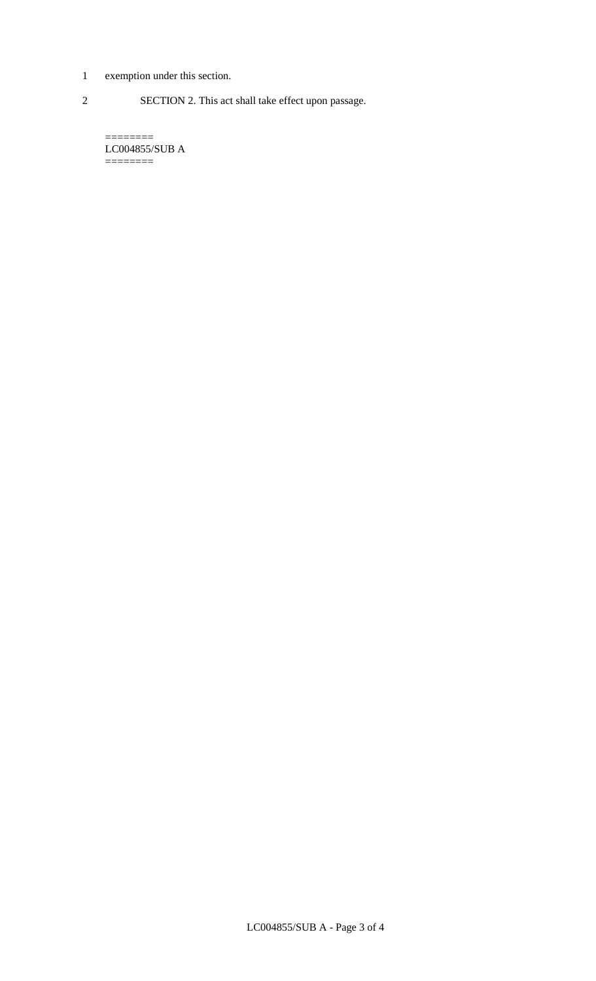- 1 exemption under this section.
- 2 SECTION 2. This act shall take effect upon passage.

======== LC004855/SUB A ========